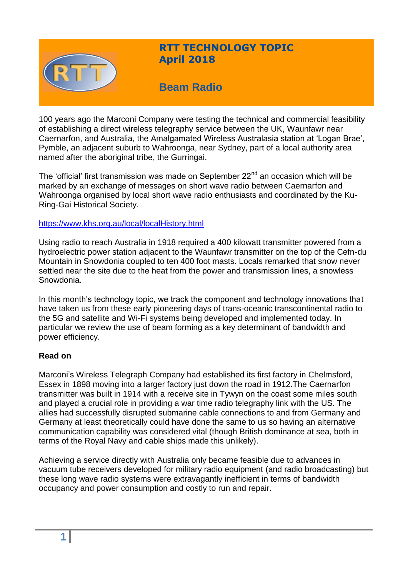

# **RTT TECHNOLOGY TOPIC April 2018**

# **Beam Radio**

100 years ago the Marconi Company were testing the technical and commercial feasibility of establishing a direct wireless telegraphy service between the UK, Waunfawr near Caernarfon, and Australia, the Amalgamated Wireless Australasia station at 'Logan Brae', Pymble, an adjacent suburb to Wahroonga, near Sydney, part of a local authority area named after the aboriginal tribe, the Gurringai.

The 'official' first transmission was made on September  $22<sup>nd</sup>$  an occasion which will be marked by an exchange of messages on short wave radio between Caernarfon and Wahroonga organised by local short wave radio enthusiasts and coordinated by the Ku-Ring-Gai Historical Society.

#### <https://www.khs.org.au/local/localHistory.html>

Using radio to reach Australia in 1918 required a 400 kilowatt transmitter powered from a hydroelectric power station adjacent to the Waunfawr transmitter on the top of the Cefn-du Mountain in Snowdonia coupled to ten 400 foot masts. Locals remarked that snow never settled near the site due to the heat from the power and transmission lines, a snowless Snowdonia.

In this month's technology topic, we track the component and technology innovations that have taken us from these early pioneering days of trans-oceanic transcontinental radio to the 5G and satellite and Wi-Fi systems being developed and implemented today. In particular we review the use of beam forming as a key determinant of bandwidth and power efficiency.

#### **Read on**

Marconi's Wireless Telegraph Company had established its first factory in Chelmsford, Essex in 1898 moving into a larger factory just down the road in 1912.The Caernarfon transmitter was built in 1914 with a receive site in Tywyn on the coast some miles south and played a crucial role in providing a war time radio telegraphy link with the US. The allies had successfully disrupted submarine cable connections to and from Germany and Germany at least theoretically could have done the same to us so having an alternative communication capability was considered vital (though British dominance at sea, both in terms of the Royal Navy and cable ships made this unlikely).

Achieving a service directly with Australia only became feasible due to advances in vacuum tube receivers developed for military radio equipment (and radio broadcasting) but these long wave radio systems were extravagantly inefficient in terms of bandwidth occupancy and power consumption and costly to run and repair.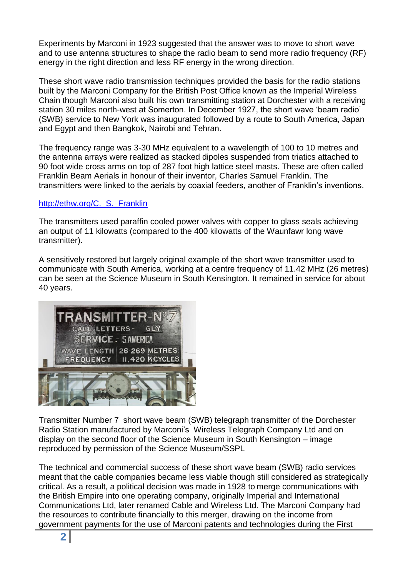Experiments by Marconi in 1923 suggested that the answer was to move to short wave and to use antenna structures to shape the radio beam to send more radio frequency (RF) energy in the right direction and less RF energy in the wrong direction.

These short wave radio transmission techniques provided the basis for the radio stations built by the Marconi Company for the British Post Office known as the Imperial Wireless Chain though Marconi also built his own transmitting station at Dorchester with a receiving station 30 miles north-west at Somerton. In December 1927, the short wave 'beam radio' (SWB) service to New York was inaugurated followed by a route to South America, Japan and Egypt and then Bangkok, Nairobi and Tehran.

The frequency range was 3-30 MHz equivalent to a wavelength of 100 to 10 metres and the antenna arrays were realized as stacked dipoles suspended from triatics attached to 90 foot wide cross arms on top of 287 foot high lattice steel masts. These are often called Franklin Beam Aerials in honour of their inventor, Charles Samuel Franklin. The transmitters were linked to the aerials by coaxial feeders, another of Franklin's inventions.

#### http://ethw.org/C. S. Franklin

The transmitters used paraffin cooled power valves with copper to glass seals achieving an output of 11 kilowatts (compared to the 400 kilowatts of the Waunfawr long wave transmitter).

A sensitively restored but largely original example of the short wave transmitter used to communicate with South America, working at a centre frequency of 11.42 MHz (26 metres) can be seen at the Science Museum in South Kensington. It remained in service for about 40 years.



Transmitter Number 7 short wave beam (SWB) telegraph transmitter of the Dorchester Radio Station manufactured by Marconi's Wireless Telegraph Company Ltd and on display on the second floor of the Science Museum in South Kensington – image reproduced by permission of the Science Museum/SSPL

The technical and commercial success of these short wave beam (SWB) radio services meant that the cable companies became less viable though still considered as strategically critical. As a result, a political decision was made in 1928 to merge communications with the British Empire into one operating company, originally Imperial and International Communications Ltd, later renamed Cable and Wireless Ltd. The Marconi Company had the resources to contribute financially to this merger, drawing on the income from government payments for the use of Marconi patents and technologies during the First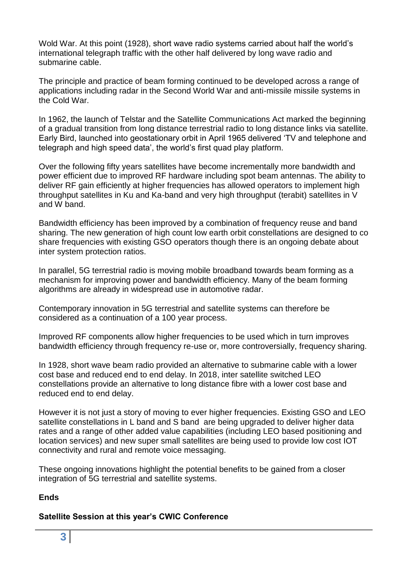Wold War. At this point (1928), short wave radio systems carried about half the world's international telegraph traffic with the other half delivered by long wave radio and submarine cable.

The principle and practice of beam forming continued to be developed across a range of applications including radar in the Second World War and anti-missile missile systems in the Cold War.

In 1962, the launch of Telstar and the Satellite Communications Act marked the beginning of a gradual transition from long distance terrestrial radio to long distance links via satellite. Early Bird, launched into geostationary orbit in April 1965 delivered 'TV and telephone and telegraph and high speed data', the world's first quad play platform.

Over the following fifty years satellites have become incrementally more bandwidth and power efficient due to improved RF hardware including spot beam antennas. The ability to deliver RF gain efficiently at higher frequencies has allowed operators to implement high throughput satellites in Ku and Ka-band and very high throughput (terabit) satellites in V and W band.

Bandwidth efficiency has been improved by a combination of frequency reuse and band sharing. The new generation of high count low earth orbit constellations are designed to co share frequencies with existing GSO operators though there is an ongoing debate about inter system protection ratios.

In parallel, 5G terrestrial radio is moving mobile broadband towards beam forming as a mechanism for improving power and bandwidth efficiency. Many of the beam forming algorithms are already in widespread use in automotive radar.

Contemporary innovation in 5G terrestrial and satellite systems can therefore be considered as a continuation of a 100 year process.

Improved RF components allow higher frequencies to be used which in turn improves bandwidth efficiency through frequency re-use or, more controversially, frequency sharing.

In 1928, short wave beam radio provided an alternative to submarine cable with a lower cost base and reduced end to end delay. In 2018, inter satellite switched LEO constellations provide an alternative to long distance fibre with a lower cost base and reduced end to end delay.

However it is not just a story of moving to ever higher frequencies. Existing GSO and LEO satellite constellations in L band and S band are being upgraded to deliver higher data rates and a range of other added value capabilities (including LEO based positioning and location services) and new super small satellites are being used to provide low cost IOT connectivity and rural and remote voice messaging.

These ongoing innovations highlight the potential benefits to be gained from a closer integration of 5G terrestrial and satellite systems.

### **Ends**

### **Satellite Session at this year's CWIC Conference**